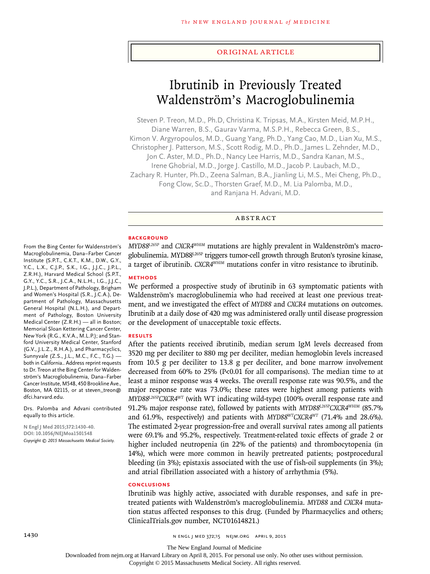#### Original Article

# Ibrutinib in Previously Treated Waldenström's Macroglobulinemia

Steven P. Treon, M.D., Ph.D, Christina K. Tripsas, M.A., Kirsten Meid, M.P.H., Diane Warren, B.S., Gaurav Varma, M.S.P.H., Rebecca Green, B.S., Kimon V. Argyropoulos, M.D., Guang Yang, Ph.D., Yang Cao, M.D., Lian Xu, M.S., Christopher J. Patterson, M.S., Scott Rodig, M.D., Ph.D., James L. Zehnder, M.D., Jon C. Aster, M.D., Ph.D., Nancy Lee Harris, M.D., Sandra Kanan, M.S., Irene Ghobrial, M.D., Jorge J. Castillo, M.D., Jacob P. Laubach, M.D., Zachary R. Hunter, Ph.D., Zeena Salman, B.A., Jianling Li, M.S., Mei Cheng, Ph.D., Fong Clow, Sc.D., Thorsten Graef, M.D., M. Lia Palomba, M.D., and Ranjana H. Advani, M.D.

## ABSTRACT

## **BACKGROUND**

From the Bing Center for Waldenström's Macroglobulinemia, Dana–Farber Cancer Institute (S.P.T., C.K.T., K.M., D.W., G.Y., Y.C., L.X., C.J.P., S.K., I.G., J.J.C., J.P.L., Z.R.H.), Harvard Medical School (S.P.T., G.Y., Y.C., S.R., J.C.A., N.L.H., I.G., J.J.C., J.P.L.), Department of Pathology, Brigham and Women's Hospital (S.R., J.C.A.), Department of Pathology, Massachusetts General Hospital (N.L.H.), and Department of Pathology, Boston University Medical Center (Z.R.H.) — all in Boston; Memorial Sloan Kettering Cancer Center, New York (R.G., K.V.A., M.L.P.); and Stanford University Medical Center, Stanford (G.V., J.L.Z., R.H.A.), and Pharmacyclics, Sunnyvale (Z.S., J.L., M.C., F.C., T.G.) both in California.. Address reprint requests to Dr. Treon at the Bing Center for Waldenström's Macroglobulinemia, Dana–Farber Cancer Institute, M548, 450 Brookline Ave., Boston, MA 02115, or at steven\_treon@

*MYD88L265P* and *CXCR4WHIM* mutations are highly prevalent in Waldenström's macroglobulinemia. MYD88L265P triggers tumor-cell growth through Bruton's tyrosine kinase, a target of ibrutinib. *CXCR4WHIM* mutations confer in vitro resistance to ibrutinib.

# **METHODS**

We performed a prospective study of ibrutinib in 63 symptomatic patients with Waldenström's macroglobulinemia who had received at least one previous treatment, and we investigated the effect of *MYD88* and *CXCR4* mutations on outcomes. Ibrutinib at a daily dose of 420 mg was administered orally until disease progression or the development of unacceptable toxic effects.

## **RESULTS**

After the patients received ibrutinib, median serum IgM levels decreased from 3520 mg per deciliter to 880 mg per deciliter, median hemoglobin levels increased from 10.5 g per deciliter to 13.8 g per deciliter, and bone marrow involvement decreased from 60% to 25% (P<0.01 for all comparisons). The median time to at least a minor response was 4 weeks. The overall response rate was 90.5%, and the major response rate was 73.0%; these rates were highest among patients with *MYD88L265PCXCR4WT* (with WT indicating wild-type) (100% overall response rate and 91.2% major response rate), followed by patients with *MYD88L265PCXCR4WHIM* (85.7% and 61.9%, respectively) and patients with *MYD88WTCXCR4WT* (71.4% and 28.6%). The estimated 2-year progression-free and overall survival rates among all patients were 69.1% and 95.2%, respectively. Treatment-related toxic effects of grade 2 or higher included neutropenia (in 22% of the patients) and thrombocytopenia (in 14%), which were more common in heavily pretreated patients; postprocedural bleeding (in 3%); epistaxis associated with the use of fish-oil supplements (in 3%); and atrial fibrillation associated with a history of arrhythmia (5%).

# **CONCLUSIONS**

Ibrutinib was highly active, associated with durable responses, and safe in pretreated patients with Waldenström's macroglobulinemia. *MYD88* and *CXCR4* mutation status affected responses to this drug. (Funded by Pharmacyclics and others; ClinicalTrials.gov number, NCT01614821.)

dfci.harvard.edu.

equally to this article.

**N Engl J Med 2015;372:1430-40. DOI: 10.1056/NEJMoa1501548** *Copyright © 2015 Massachusetts Medical Society.*

Drs. Palomba and Advani contributed

1430 **n engl j med 372;15** N ENGL J MED 372;15 N EIM.ORG APRIL 9, 2015

The New England Journal of Medicine

Downloaded from nejm.org at Harvard Library on April 8, 2015. For personal use only. No other uses without permission.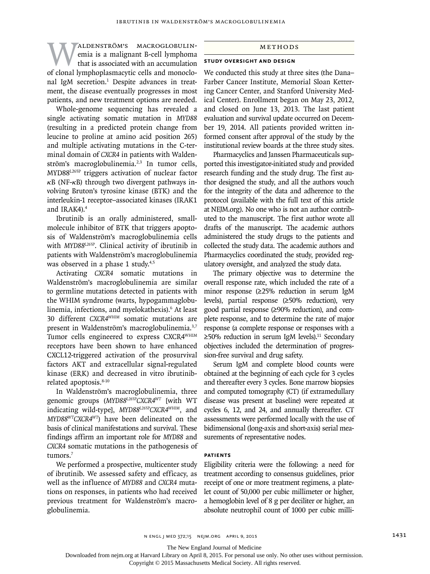WALDENSTRÖM'S MACROGLOBULIN-<br>
emia is a malignant B-cell lymphoma<br>
of clonal lymphoplasmacytic cells and monocloemia is a malignant B-cell lymphoma that is associated with an accumulation nal IgM secretion.<sup>1</sup> Despite advances in treatment, the disease eventually progresses in most patients, and new treatment options are needed.

Whole-genome sequencing has revealed a single activating somatic mutation in *MYD88*  (resulting in a predicted protein change from leucine to proline at amino acid position 265) and multiple activating mutations in the C-terminal domain of *CXCR4* in patients with Waldenström's macroglobulinemia.<sup>2,3</sup> In tumor cells, MYD88L265P triggers activation of nuclear factor  $\kappa$ B (NF- $\kappa$ B) through two divergent pathways involving Bruton's tyrosine kinase (BTK) and the interleukin-1 receptor–associated kinases (IRAK1 and IRAK4).4

Ibrutinib is an orally administered, smallmolecule inhibitor of BTK that triggers apoptosis of Waldenström's macroglobulinemia cells with *MYD88L265P*. Clinical activity of ibrutinib in patients with Waldenström's macroglobulinemia was observed in a phase 1 study.<sup>4,5</sup>

Activating *CXCR4* somatic mutations in Waldenström's macroglobulinemia are similar to germline mutations detected in patients with the WHIM syndrome (warts, hypogammaglobulinemia, infections, and myelokathexis).6 At least 30 different *CXCR4WHIM* somatic mutations are present in Waldenström's macroglobulinemia.<sup>3,7</sup> Tumor cells engineered to express CXCR4WHIM receptors have been shown to have enhanced CXCL12-triggered activation of the prosurvival factors AKT and extracellular signal-regulated kinase (ERK) and decreased in vitro ibrutinibrelated apoptosis.8-10

In Waldenström's macroglobulinemia, three genomic groups (*MYD88L265PCXCR4WT* [with WT indicating wild-type], *MYD88L265PCXCR4WHIM*, and *MYD88WTCXCR4WT*) have been delineated on the basis of clinical manifestations and survival. These findings affirm an important role for *MYD88* and *CXCR4* somatic mutations in the pathogenesis of tumors.<sup>7</sup>

We performed a prospective, multicenter study of ibrutinib. We assessed safety and efficacy, as well as the influence of *MYD88* and *CXCR4* mutations on responses, in patients who had received previous treatment for Waldenström's macroglobulinemia.

#### Methods

# **Study Oversight and Design**

We conducted this study at three sites (the Dana– Farber Cancer Institute, Memorial Sloan Kettering Cancer Center, and Stanford University Medical Center). Enrollment began on May 23, 2012, and closed on June 13, 2013. The last patient evaluation and survival update occurred on December 19, 2014. All patients provided written informed consent after approval of the study by the institutional review boards at the three study sites.

Pharmacyclics and Janssen Pharmaceuticals supported this investigator-initiated study and provided research funding and the study drug. The first author designed the study, and all the authors vouch for the integrity of the data and adherence to the protocol (available with the full text of this article at NEJM.org). No one who is not an author contributed to the manuscript. The first author wrote all drafts of the manuscript. The academic authors administered the study drugs to the patients and collected the study data. The academic authors and Pharmacyclics coordinated the study, provided regulatory oversight, and analyzed the study data.

The primary objective was to determine the overall response rate, which included the rate of a minor response (≥25% reduction in serum IgM levels), partial response (≥50% reduction), very good partial response (≥90% reduction), and complete response, and to determine the rate of major response (a complete response or responses with a ≥50% reduction in serum IgM levels).<sup>11</sup> Secondary objectives included the determination of progression-free survival and drug safety.

Serum IgM and complete blood counts were obtained at the beginning of each cycle for 3 cycles and thereafter every 3 cycles. Bone marrow biopsies and computed tomography (CT) (if extramedullary disease was present at baseline) were repeated at cycles 6, 12, and 24, and annually thereafter. CT assessments were performed locally with the use of bidimensional (long-axis and short-axis) serial measurements of representative nodes.

# **Patients**

Eligibility criteria were the following: a need for treatment according to consensus guidelines, prior receipt of one or more treatment regimens, a platelet count of 50,000 per cubic millimeter or higher, a hemoglobin level of 8 g per deciliter or higher, an absolute neutrophil count of 1000 per cubic milli-

The New England Journal of Medicine

Downloaded from nejm.org at Harvard Library on April 8, 2015. For personal use only. No other uses without permission.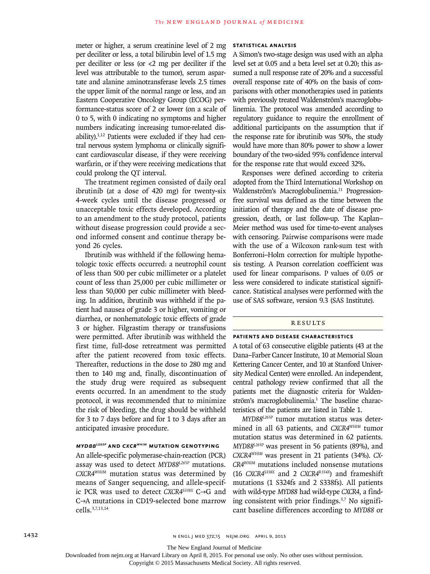meter or higher, a serum creatinine level of 2 mg per deciliter or less, a total bilirubin level of 1.5 mg per deciliter or less (or <2 mg per deciliter if the level was attributable to the tumor), serum aspartate and alanine aminotransferase levels 2.5 times the upper limit of the normal range or less, and an Eastern Cooperative Oncology Group (ECOG) performance-status score of 2 or lower (on a scale of 0 to 5, with 0 indicating no symptoms and higher numbers indicating increasing tumor-related disability). $1,12$  Patients were excluded if they had central nervous system lymphoma or clinically significant cardiovascular disease, if they were receiving warfarin, or if they were receiving medications that could prolong the QT interval.

The treatment regimen consisted of daily oral ibrutinib (at a dose of 420 mg) for twenty-six 4-week cycles until the disease progressed or unacceptable toxic effects developed. According to an amendment to the study protocol, patients without disease progression could provide a second informed consent and continue therapy beyond 26 cycles.

Ibrutinib was withheld if the following hematologic toxic effects occurred: a neutrophil count of less than 500 per cubic millimeter or a platelet count of less than 25,000 per cubic millimeter or less than 50,000 per cubic millimeter with bleeding. In addition, ibrutinib was withheld if the patient had nausea of grade 3 or higher, vomiting or diarrhea, or nonhematologic toxic effects of grade 3 or higher. Filgrastim therapy or transfusions were permitted. After ibrutinib was withheld the first time, full-dose retreatment was permitted after the patient recovered from toxic effects. Thereafter, reductions in the dose to 280 mg and then to 140 mg and, finally, discontinuation of the study drug were required as subsequent events occurred. In an amendment to the study protocol, it was recommended that to minimize the risk of bleeding, the drug should be withheld for 3 to 7 days before and for 1 to 3 days after an anticipated invasive procedure.

#### *MYD88L265P* **and** *CXCRWHIM* **Mutation Genotyping**

An allele-specific polymerase-chain-reaction (PCR) assay was used to detect *MYD88L265P* mutations. *CXCR4WHIM* mutation status was determined by means of Sanger sequencing, and allele-specific PCR was used to detect *CXCR4S338X* C→G and C→A mutations in CD19-selected bone marrow cells.3,7,13,14

#### **Statistical Analysis**

A Simon's two-stage design was used with an alpha level set at 0.05 and a beta level set at 0.20; this assumed a null response rate of 20% and a successful overall response rate of 40% on the basis of comparisons with other monotherapies used in patients with previously treated Waldenström's macroglobulinemia. The protocol was amended according to regulatory guidance to require the enrollment of additional participants on the assumption that if the response rate for ibrutinib was 50%, the study would have more than 80% power to show a lower boundary of the two-sided 95% confidence interval for the response rate that would exceed 32%.

Responses were defined according to criteria adopted from the Third International Workshop on Waldenström's Macroglobulinemia.<sup>11</sup> Progressionfree survival was defined as the time between the initiation of therapy and the date of disease progression, death, or last follow-up. The Kaplan– Meier method was used for time-to-event analyses with censoring. Pairwise comparisons were made with the use of a Wilcoxon rank-sum test with Bonferroni–Holm correction for multiple hypothesis testing. A Pearson correlation coefficient was used for linear comparisons. P values of 0.05 or less were considered to indicate statistical significance. Statistical analyses were performed with the use of SAS software, version 9.3 (SAS Institute).

# Results

#### **Patients and Disease Characteristics**

A total of 63 consecutive eligible patients (43 at the Dana–Farber Cancer Institute, 10 at Memorial Sloan Kettering Cancer Center, and 10 at Stanford University Medical Center) were enrolled. An independent, central pathology review confirmed that all the patients met the diagnostic criteria for Waldenström's macroglobulinemia.<sup>1</sup> The baseline characteristics of the patients are listed in Table 1.

*MYD88L265P* tumor mutation status was determined in all 63 patients, and *CXCR4WHIM* tumor mutation status was determined in 62 patients. *MYD88L265P* was present in 56 patients (89%), and *CXCR4WHIM* was present in 21 patients (34%). *CX-CR4WHIM* mutations included nonsense mutations (16 *CXCR4S338X* and 2 *CXCR4R334X*) and frameshift mutations (1 S324fs and 2 S338fs). All patients with wild-type *MYD88* had wild-type *CXCR4*, a finding consistent with prior findings. $3,7$  No significant baseline differences according to *MYD88* or

The New England Journal of Medicine

Downloaded from nejm.org at Harvard Library on April 8, 2015. For personal use only. No other uses without permission.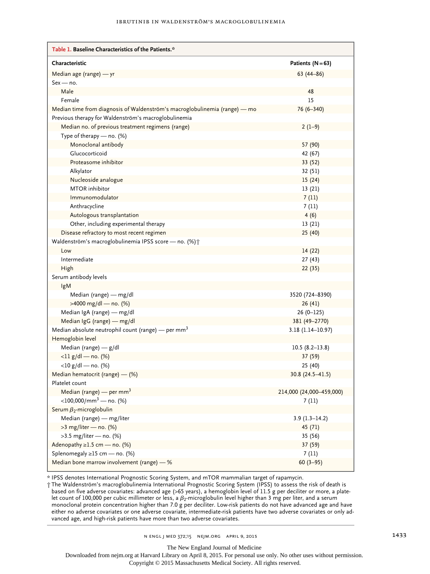| Table 1. Baseline Characteristics of the Patients.*                        |                          |
|----------------------------------------------------------------------------|--------------------------|
| Characteristic                                                             | Patients $(N=63)$        |
| Median age (range) - yr                                                    | $63(44-86)$              |
| $Sex - no$ .                                                               |                          |
| Male                                                                       | 48                       |
| Female                                                                     | 15                       |
| Median time from diagnosis of Waldenström's macroglobulinemia (range) - mo | 76 (6-340)               |
| Previous therapy for Waldenström's macroglobulinemia                       |                          |
| Median no. of previous treatment regimens (range)                          | $2(1-9)$                 |
| Type of therapy - no. (%)                                                  |                          |
| Monoclonal antibody                                                        | 57 (90)                  |
| Glucocorticoid                                                             | 42 (67)                  |
| Proteasome inhibitor                                                       | 33 (52)                  |
| Alkylator                                                                  | 32 (51)                  |
| Nucleoside analogue                                                        | 15(24)                   |
| <b>MTOR</b> inhibitor                                                      | 13(21)                   |
| Immunomodulator                                                            | 7(11)                    |
| Anthracycline                                                              | 7(11)                    |
| Autologous transplantation                                                 | 4(6)                     |
| Other, including experimental therapy                                      | 13(21)                   |
| Disease refractory to most recent regimen                                  | 25(40)                   |
| Waldenström's macroglobulinemia IPSS score - no. (%) +                     |                          |
| Low                                                                        | 14(22)                   |
| Intermediate                                                               | 27(43)                   |
| High                                                                       | 22(35)                   |
| Serum antibody levels                                                      |                          |
| IgM                                                                        |                          |
| Median (range) - mg/dl                                                     | 3520 (724-8390)          |
| >4000 mg/dl - no. (%)                                                      | 26(41)                   |
| Median IgA (range) - mg/dl                                                 | $26(0-125)$              |
| Median IgG (range) - mg/dl                                                 | 381 (49-2770)            |
| Median absolute neutrophil count (range) — per mm <sup>3</sup>             | 3.18 (1.14-10.97)        |
| Hemoglobin level                                                           |                          |
| Median (range) $-$ g/dl                                                    | $10.5(8.2 - 13.8)$       |
| $\langle 11 g/d$   $-$ no. (%)                                             | 37 (59)                  |
| $<$ 10 g/dl — no. (%)                                                      | 25 (40)                  |
| Median hematocrit (range) - (%)                                            | $30.8(24.5 - 41.5)$      |
| Platelet count                                                             |                          |
| Median (range) $-$ per mm <sup>3</sup>                                     | 214,000 (24,000-459,000) |
| $<$ 100,000/mm <sup>3</sup> — no. (%)                                      | 7(11)                    |
| Serum $\beta_2$ -microglobulin                                             |                          |
| Median (range) - mg/liter                                                  | $3.9(1.3-14.2)$          |
| >3 mg/liter - no. (%)                                                      | 45 (71)                  |
| $>3.5$ mg/liter – no. (%)                                                  | 35 (56)                  |
| Adenopathy $\geq$ 1.5 cm — no. (%)                                         | 37 (59)                  |
| Splenomegaly ≥15 cm - no. (%)                                              | 7(11)                    |
| Median bone marrow involvement (range) - %                                 | $60(3-95)$               |

\* IPSS denotes International Prognostic Scoring System, and mTOR mammalian target of rapamycin.

† The Waldenström's macroglobulinemia International Prognostic Scoring System (IPSS) to assess the risk of death is based on five adverse covariates: advanced age (>65 years), a hemoglobin level of 11.5 g per deciliter or more, a platelet count of 100,000 per cubic millimeter or less, a  $\beta_2$ -microglobulin level higher than 3 mg per liter, and a serum monoclonal protein concentration higher than 7.0 g per deciliter. Low-risk patients do not have advanced age and have either no adverse covariates or one adverse covariate, intermediate-risk patients have two adverse covariates or only advanced age, and high-risk patients have more than two adverse covariates.

The New England Journal of Medicine

Downloaded from nejm.org at Harvard Library on April 8, 2015. For personal use only. No other uses without permission.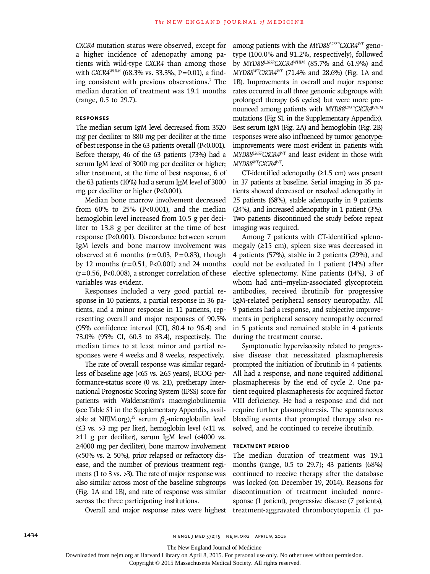*CXCR4* mutation status were observed, except for a higher incidence of adenopathy among patients with wild-type *CXCR4* than among those with *CXCR4<sup>WHIM</sup>* (68.3% vs. 33.3%, P=0.01), a finding consistent with previous observations.7 The median duration of treatment was 19.1 months (range, 0.5 to 29.7).

# **Responses**

The median serum IgM level decreased from 3520 mg per deciliter to 880 mg per deciliter at the time of best response in the 63 patients overall (P<0.001). Before therapy, 46 of the 63 patients (73%) had a serum IgM level of 3000 mg per deciliter or higher; after treatment, at the time of best response, 6 of the 63 patients (10%) had a serum IgM level of 3000 mg per deciliter or higher (P<0.001).

Median bone marrow involvement decreased from  $60\%$  to  $25\%$  (P<0.001), and the median hemoglobin level increased from 10.5 g per deciliter to 13.8 g per deciliter at the time of best response (P<0.001). Discordance between serum IgM levels and bone marrow involvement was observed at 6 months ( $r=0.03$ ,  $P=0.83$ ), though by 12 months (r=0.51, P<0.001) and 24 months  $(r=0.56, P<0.008)$ , a stronger correlation of these variables was evident.

Responses included a very good partial response in 10 patients, a partial response in 36 patients, and a minor response in 11 patients, representing overall and major responses of 90.5% (95% confidence interval [CI], 80.4 to 96.4) and 73.0% (95% CI, 60.3 to 83.4), respectively. The median times to at least minor and partial responses were 4 weeks and 8 weeks, respectively.

The rate of overall response was similar regardless of baseline age (<65 vs. ≥65 years), ECOG performance-status score (0 vs.  $\geq$ 1), pretherapy International Prognostic Scoring System (IPSS) score for patients with Waldenström's macroglobulinemia (see Table S1 in the Supplementary Appendix, available at NEJM.org),<sup>15</sup> serum  $\beta_2$ -microglobulin level  $(≤3 vs. >3 mg per liter)$ , hemoglobin level  $(≤11 vs.$ ≥11 g per deciliter), serum IgM level (<4000 vs. ≥4000 mg per deciliter), bone marrow involvement (<50% vs. ≥ 50%), prior relapsed or refractory disease, and the number of previous treatment regimens (1 to 3 vs. >3). The rate of major response was also similar across most of the baseline subgroups (Fig. 1A and 1B), and rate of response was similar across the three participating institutions.

Overall and major response rates were highest

among patients with the *MYD88L265PCXCR4WT* genotype (100.0% and 91.2%, respectively), followed by *MYD88L265PCXCR4WHIM* (85.7% and 61.9%) and *MYD88WTCXCR4WT* (71.4% and 28.6%) (Fig. 1A and 1B). Improvements in overall and major response rates occurred in all three genomic subgroups with prolonged therapy (>6 cycles) but were more pronounced among patients with *MYD88L265PCXCR4WHIM* mutations (Fig S1 in the Supplementary Appendix). Best serum IgM (Fig. 2A) and hemoglobin (Fig. 2B) responses were also influenced by tumor genotype; improvements were most evident in patients with *MYD88L265PCXCR4WT* and least evident in those with *MYD88WTCXCR4WT*.

CT-identified adenopathy (≥1.5 cm) was present in 37 patients at baseline. Serial imaging in 35 patients showed decreased or resolved adenopathy in 25 patients (68%), stable adenopathy in 9 patients (24%), and increased adenopathy in 1 patient (3%). Two patients discontinued the study before repeat imaging was required.

Among 7 patients with CT-identified splenomegaly (≥15 cm), spleen size was decreased in 4 patients (57%), stable in 2 patients (29%), and could not be evaluated in 1 patient (14%) after elective splenectomy. Nine patients (14%), 3 of whom had anti–myelin-associated glycoprotein antibodies, received ibrutinib for progressive IgM-related peripheral sensory neuropathy. All 9 patients had a response, and subjective improvements in peripheral sensory neuropathy occurred in 5 patients and remained stable in 4 patients during the treatment course.

Symptomatic hyperviscosity related to progressive disease that necessitated plasmapheresis prompted the initiation of ibrutinib in 4 patients. All had a response, and none required additional plasmapheresis by the end of cycle 2. One patient required plasmapheresis for acquired factor VIII deficiency. He had a response and did not require further plasmapheresis. The spontaneous bleeding events that prompted therapy also resolved, and he continued to receive ibrutinib.

# **Treatment Period**

The median duration of treatment was 19.1 months (range, 0.5 to 29.7); 43 patients (68%) continued to receive therapy after the database was locked (on December 19, 2014). Reasons for discontinuation of treatment included nonresponse (1 patient), progressive disease (7 patients), treatment-aggravated thrombocytopenia (1 pa-

The New England Journal of Medicine

Downloaded from nejm.org at Harvard Library on April 8, 2015. For personal use only. No other uses without permission.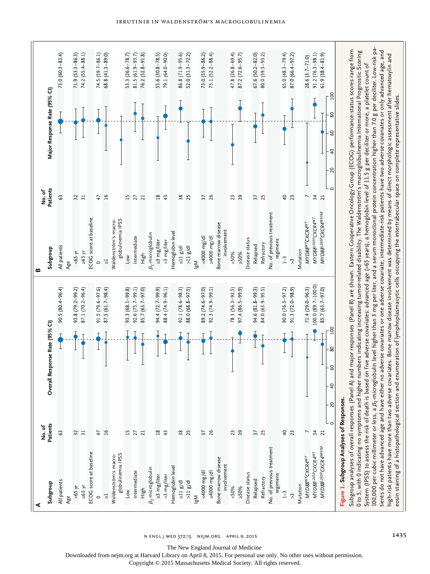

n engl j med 372;15 nejm.org April 9, 2015 1435

Downloaded from nejm.org at Harvard Library on April 8, 2015. For personal use only. No other uses without permission.

Copyright © 2015 Massachusetts Medical Society. All rights reserved.

The New England Journal of Medicine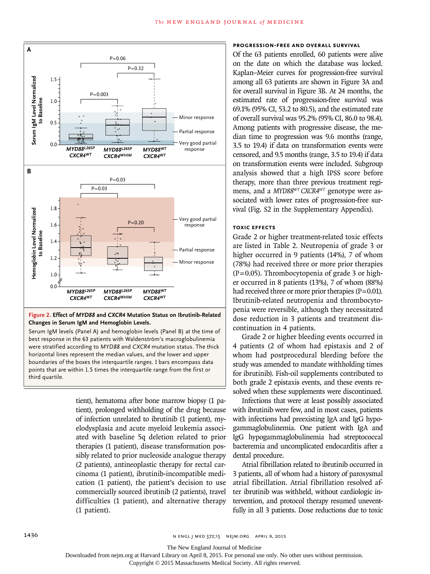

## **Figure 2. Effect of** *MYD88* **and** *CXCR4* **Mutation Status on Ibrutinib-Related Changes in Serum IgM and Hemoglobin Levels.**

Serum IgM levels (Panel A) and hemoglobin levels (Panel B) at the time of best response in the 63 patients with Waldenström's macroglobulinemia were stratified according to *MYD88* and *CXCR4* mutation status. The thick horizontal lines represent the median values, and the lower and upper boundaries of the boxes the interquartile ranges. I bars encompass data points that are within 1.5 times the interquartile range from the first or third quartile.

> tient), hematoma after bone marrow biopsy (1 patient), prolonged withholding of the drug because of infection unrelated to ibrutinib (1 patient), myelodysplasia and acute myeloid leukemia associated with baseline 5q deletion related to prior therapies (1 patient), disease transformation possibly related to prior nucleoside analogue therapy (2 patients), antineoplastic therapy for rectal carcinoma (1 patient), ibrutinib-incompatible medication (1 patient), the patient's decision to use commercially sourced ibrutinib (2 patients), travel difficulties (1 patient), and alternative therapy (1 patient).

## **Progression-free and Overall Survival**

Of the 63 patients enrolled, 60 patients were alive on the date on which the database was locked. Kaplan–Meier curves for progression-free survival among all 63 patients are shown in Figure 3A and for overall survival in Figure 3B. At 24 months, the estimated rate of progression-free survival was 69.1% (95% CI, 53.2 to 80.5), and the estimated rate of overall survival was 95.2% (95% CI, 86.0 to 98.4). Among patients with progressive disease, the median time to progression was 9.6 months (range, 3.5 to 19.4) if data on transformation events were censored, and 9.5 months (range, 3.5 to 19.4) if data on transformation events were included. Subgroup analysis showed that a high IPSS score before therapy, more than three previous treatment regimens, and a *MYD88WT CXCR4WT* genotype were associated with lower rates of progression-free survival (Fig. S2 in the Supplementary Appendix).

# **Toxic Effects**

Grade 2 or higher treatment-related toxic effects are listed in Table 2. Neutropenia of grade 3 or higher occurred in 9 patients (14%), 7 of whom (78%) had received three or more prior therapies  $(P=0.05)$ . Thrombocytopenia of grade 3 or higher occurred in 8 patients (13%), 7 of whom (88%) had received three or more prior therapies  $(P=0.01)$ . Ibrutinib-related neutropenia and thrombocytopenia were reversible, although they necessitated dose reduction in 3 patients and treatment discontinuation in 4 patients.

Grade 2 or higher bleeding events occurred in 4 patients (2 of whom had epistaxis and 2 of whom had postprocedural bleeding before the study was amended to mandate withholding times for ibrutinib). Fish-oil supplements contributed to both grade 2 epistaxis events, and these events resolved when these supplements were discontinued.

Infections that were at least possibly associated with ibrutinib were few, and in most cases, patients with infections had preexisting IgA and IgG hypogammaglobulinemia. One patient with IgA and IgG hypogammaglobulinemia had streptococcal bacteremia and uncomplicated endocarditis after a dental procedure.

Atrial fibrillation related to ibrutinib occurred in 3 patients, all of whom had a history of paroxysmal atrial fibrillation. Atrial fibrillation resolved after ibrutinib was withheld, without cardiologic intervention, and protocol therapy resumed uneventfully in all 3 patients. Dose reductions due to toxic

The New England Journal of Medicine

Downloaded from nejm.org at Harvard Library on April 8, 2015. For personal use only. No other uses without permission.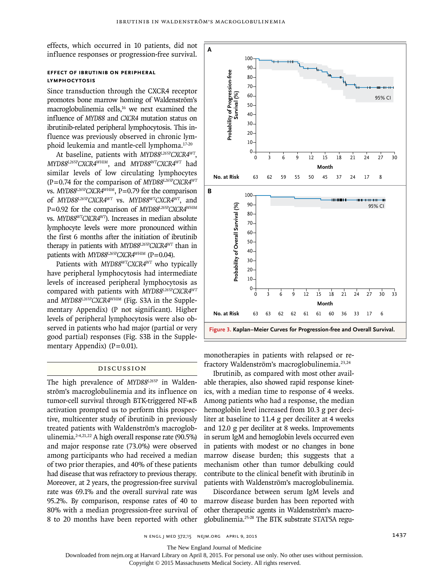effects, which occurred in 10 patients, did not influence responses or progression-free survival.

# **Effect of Ibrutinib on Peripheral Lymphocytosis**

Since transduction through the CXCR4 receptor promotes bone marrow homing of Waldenström's macroglobulinemia cells,16 we next examined the influence of *MYD88* and *CXCR4* mutation status on ibrutinib-related peripheral lymphocytosis. This influence was previously observed in chronic lymphoid leukemia and mantle-cell lymphoma.17-20

At baseline, patients with *MYD88L265PCXCR4WT*, *MYD88L265PCXCR4WHIM*, and *MYD88WTCXCR4WT* had similar levels of low circulating lymphocytes (P = 0.74 for the comparison of *MYD88L265PCXCR4WT* vs. *MYD88<sup>L265P</sup>CXCR4<sup>WHIM</sup>*, P=0.79 for the comparison of *MYD88L265PCXCR4WT* vs. *MYD88WTCXCR4WT*, and P=0.92 for the comparison of *MYD88<sup>L265P</sup>CXCR4<sup>WHIM</sup>* vs. *MYD88WTCXCR4WT*). Increases in median absolute lymphocyte levels were more pronounced within the first 6 months after the initiation of ibrutinib therapy in patients with *MYD88L265PCXCR4WT* than in patients with *MYD88L265PCXCR4<sup>WHIM</sup>* (P=0.04).

Patients with *MYD88WTCXCR4WT* who typically have peripheral lymphocytosis had intermediate levels of increased peripheral lymphocytosis as compared with patients with *MYD88L265PCXCR4WT* and *MYD88L265PCXCR4WHIM* (Fig. S3A in the Supplementary Appendix) (P not significant). Higher levels of peripheral lymphocytosis were also observed in patients who had major (partial or very good partial) responses (Fig. S3B in the Supplementary Appendix)  $(P=0.01)$ .

# Discussion

The high prevalence of *MYD88L265P* in Waldenström's macroglobulinemia and its influence on tumor-cell survival through BTK-triggered NF-κB activation prompted us to perform this prospective, multicenter study of ibrutinib in previously treated patients with Waldenström's macroglobulinemia. $2-4,21,22$  A high overall response rate (90.5%) and major response rate (73.0%) were observed among participants who had received a median of two prior therapies, and 40% of these patients had disease that was refractory to previous therapy. Moreover, at 2 years, the progression-free survival rate was 69.1% and the overall survival rate was 95.2%. By comparison, response rates of 40 to 80% with a median progression-free survival of 8 to 20 months have been reported with other



monotherapies in patients with relapsed or refractory Waldenström's macroglobulinemia.23,24

Ibrutinib, as compared with most other available therapies, also showed rapid response kinetics, with a median time to response of 4 weeks. Among patients who had a response, the median hemoglobin level increased from 10.3 g per deciliter at baseline to 11.4 g per deciliter at 4 weeks and 12.0 g per deciliter at 8 weeks. Improvements in serum IgM and hemoglobin levels occurred even in patients with modest or no changes in bone marrow disease burden; this suggests that a mechanism other than tumor debulking could contribute to the clinical benefit with ibrutinib in patients with Waldenström's macroglobulinemia.

Discordance between serum IgM levels and marrow disease burden has been reported with other therapeutic agents in Waldenström's macroglobulinemia.25-28 The BTK substrate STAT5A regu-

n engl j med 372;15 nejm.org April 9, 2015 1437

The New England Journal of Medicine

Downloaded from nejm.org at Harvard Library on April 8, 2015. For personal use only. No other uses without permission.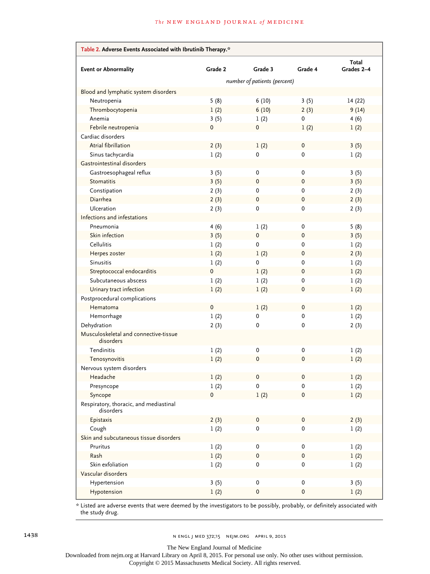| Table 2. Adverse Events Associated with Ibrutinib Therapy.* |         |           |                     |                     |  |
|-------------------------------------------------------------|---------|-----------|---------------------|---------------------|--|
| <b>Event or Abnormality</b>                                 | Grade 2 | Grade 3   | Grade 4             | Total<br>Grades 2-4 |  |
| number of patients (percent)                                |         |           |                     |                     |  |
| Blood and lymphatic system disorders                        |         |           |                     |                     |  |
| Neutropenia                                                 | 5(8)    | 6(10)     | 3(5)                | 14(22)              |  |
| Thrombocytopenia                                            | 1(2)    | 6(10)     | 2(3)                | 9(14)               |  |
| Anemia                                                      | 3(5)    | 1(2)      | 0                   | 4(6)                |  |
| Febrile neutropenia                                         | 0       | 0         | 1(2)                | 1(2)                |  |
| Cardiac disorders                                           |         |           |                     |                     |  |
| Atrial fibrillation                                         | 2(3)    | 1(2)      | 0                   | 3(5)                |  |
| Sinus tachycardia                                           | 1(2)    | 0         | 0                   | 1(2)                |  |
| Gastrointestinal disorders                                  |         |           |                     |                     |  |
| Gastroesophageal reflux                                     | 3(5)    | 0         | 0                   | 3(5)                |  |
| <b>Stomatitis</b>                                           | 3(5)    | 0         | $\pmb{0}$           | 3(5)                |  |
| Constipation                                                | 2(3)    | 0         | 0                   | 2(3)                |  |
| Diarrhea                                                    | 2(3)    | $\pmb{0}$ | 0                   | 2(3)                |  |
| <b>Ulceration</b>                                           | 2(3)    | 0         | 0                   | 2(3)                |  |
| Infections and infestations                                 |         |           |                     |                     |  |
| Pneumonia                                                   | 4(6)    | 1(2)      | 0                   | 5(8)                |  |
| Skin infection                                              | 3(5)    | 0         | 0                   | 3(5)                |  |
| Cellulitis                                                  | 1(2)    | 0         | $\Omega$            | 1(2)                |  |
| Herpes zoster                                               | 1(2)    | 1(2)      | 0                   | 2(3)                |  |
| <b>Sinusitis</b>                                            | 1(2)    | 0         | 0                   | 1(2)                |  |
| Streptococcal endocarditis                                  | 0       | 1(2)      | 0                   | 1(2)                |  |
| Subcutaneous abscess                                        | 1(2)    | 1(2)      | 0                   | 1(2)                |  |
| Urinary tract infection                                     | 1(2)    | 1(2)      | 0                   | 1(2)                |  |
| Postprocedural complications                                |         |           |                     |                     |  |
| Hematoma                                                    | 0       | 1(2)      | 0                   | 1(2)                |  |
| Hemorrhage                                                  | 1(2)    | 0         | $\mathbf 0$         | 1(2)                |  |
| Dehydration                                                 | 2(3)    | 0         | 0                   | 2(3)                |  |
| Musculoskeletal and connective-tissue<br>disorders          |         |           |                     |                     |  |
| Tendinitis                                                  | 1(2)    | 0         | 0                   | 1(2)                |  |
| Tenosynovitis                                               | 1(2)    | 0         | 0                   | 1(2)                |  |
| Nervous system disorders                                    |         |           |                     |                     |  |
| Headache                                                    | 1(2)    | $\pmb{0}$ | $\pmb{0}$           | 1(2)                |  |
| Presyncope                                                  | 1(2)    | $\pmb{0}$ | $\pmb{0}$           | $1\ (2)$            |  |
| Syncope                                                     | 0       | 1(2)      | $\mathbf 0$         | 1(2)                |  |
| Respiratory, thoracic, and mediastinal<br>disorders         |         |           |                     |                     |  |
| Epistaxis                                                   | 2(3)    | 0         | $\mathsf{O}\xspace$ | 2(3)                |  |
| Cough                                                       | 1(2)    | 0         | 0                   | 1(2)                |  |
| Skin and subcutaneous tissue disorders                      |         |           |                     |                     |  |
| Pruritus                                                    | 1(2)    | 0         | 0                   | 1(2)                |  |
| Rash                                                        | 1(2)    | $\pmb{0}$ | $\mathbf 0$         | 1(2)                |  |
| Skin exfoliation                                            | 1(2)    | 0         | 0                   | 1(2)                |  |
| Vascular disorders                                          |         |           |                     |                     |  |
| Hypertension                                                | 3(5)    | 0         | 0                   | 3(5)                |  |
| Hypotension                                                 | 1(2)    | $\pmb{0}$ | $\pmb{0}$           | 1(2)                |  |

\* Listed are adverse events that were deemed by the investigators to be possibly, probably, or definitely associated with the study drug.

The New England Journal of Medicine

Downloaded from nejm.org at Harvard Library on April 8, 2015. For personal use only. No other uses without permission.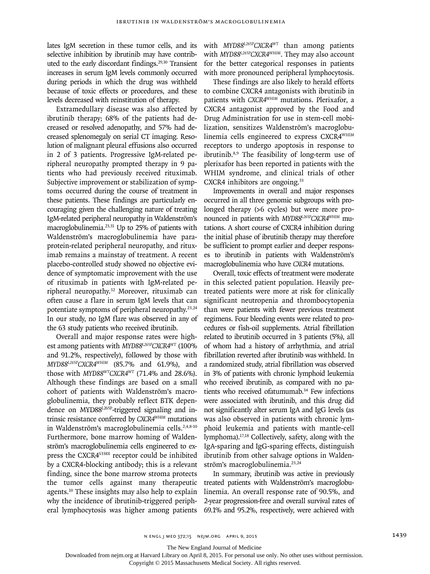lates IgM secretion in these tumor cells, and its selective inhibition by ibrutinib may have contributed to the early discordant findings.<sup>29,30</sup> Transient increases in serum IgM levels commonly occurred during periods in which the drug was withheld because of toxic effects or procedures, and these levels decreased with reinstitution of therapy.

Extramedullary disease was also affected by ibrutinib therapy; 68% of the patients had decreased or resolved adenopathy, and 57% had decreased splenomegaly on serial CT imaging. Resolution of malignant pleural effusions also occurred in 2 of 3 patients. Progressive IgM-related peripheral neuropathy prompted therapy in 9 patients who had previously received rituximab. Subjective improvement or stabilization of symptoms occurred during the course of treatment in these patients. These findings are particularly encouraging given the challenging nature of treating IgM-related peripheral neuropathy in Waldenström's macroglobulinemia.<sup>23,31</sup> Up to 25% of patients with Waldenström's macroglobulinemia have paraprotein-related peripheral neuropathy, and rituximab remains a mainstay of treatment. A recent placebo-controlled study showed no objective evidence of symptomatic improvement with the use of rituximab in patients with IgM-related peripheral neuropathy.32 Moreover, rituximab can often cause a flare in serum IgM levels that can potentiate symptoms of peripheral neuropathy.23,24 In our study, no IgM flare was observed in any of the 63 study patients who received ibrutinib.

Overall and major response rates were highest among patients with *MYD88L265PCXCR4WT* (100% and 91.2%, respectively), followed by those with *MYD88L265PCXCR4WHIM* (85.7% and 61.9%), and those with *MYD88WTCXCR4WT* (71.4% and 28.6%). Although these findings are based on a small cohort of patients with Waldenström's macroglobulinemia, they probably reflect BTK dependence on MYD88L265P-triggered signaling and intrinsic resistance conferred by *CXCR4WHIM* mutations in Waldenström's macroglobulinemia cells.<sup>2,4,8-10</sup> Furthermore, bone marrow homing of Waldenström's macroglobulinemia cells engineered to express the CXCR4<sup>S338X</sup> receptor could be inhibited by a CXCR4-blocking antibody; this is a relevant finding, since the bone marrow stroma protects the tumor cells against many therapeutic agents.<sup>10</sup> These insights may also help to explain why the incidence of ibrutinib-triggered peripheral lymphocytosis was higher among patients

with *MYD88L265PCXCR4WT* than among patients with *MYD88L265PCXCR4WHIM*. They may also account for the better categorical responses in patients with more pronounced peripheral lymphocytosis.

These findings are also likely to herald efforts to combine CXCR4 antagonists with ibrutinib in patients with *CXCR4WHIM* mutations. Plerixafor, a CXCR4 antagonist approved by the Food and Drug Administration for use in stem-cell mobilization, sensitizes Waldenström's macroglobulinemia cells engineered to express CXCR4WHIM receptors to undergo apoptosis in response to ibrutinib.8,9 The feasibility of long-term use of plerixafor has been reported in patients with the WHIM syndrome, and clinical trials of other CXCR4 inhibitors are ongoing.<sup>33</sup>

Improvements in overall and major responses occurred in all three genomic subgroups with prolonged therapy (>6 cycles) but were more pronounced in patients with *MYD88L265PCXCR4WHIM* mutations. A short course of CXCR4 inhibition during the initial phase of ibrutinib therapy may therefore be sufficient to prompt earlier and deeper responses to ibrutinib in patients with Waldenström's macroglobulinemia who have *CXCR4* mutations.

Overall, toxic effects of treatment were moderate in this selected patient population. Heavily pretreated patients were more at risk for clinically significant neutropenia and thrombocytopenia than were patients with fewer previous treatment regimens. Four bleeding events were related to procedures or fish-oil supplements. Atrial fibrillation related to ibrutinib occurred in 3 patients (5%), all of whom had a history of arrhythmia, and atrial fibrillation reverted after ibrutinib was withheld. In a randomized study, atrial fibrillation was observed in 3% of patients with chronic lymphoid leukemia who received ibrutinib, as compared with no patients who received ofatumumab.<sup>34</sup> Few infections were associated with ibrutinib, and this drug did not significantly alter serum IgA and IgG levels (as was also observed in patients with chronic lymphoid leukemia and patients with mantle-cell lymphoma).17,18 Collectively, safety, along with the IgA-sparing and IgG-sparing effects, distinguish ibrutinib from other salvage options in Waldenström's macroglobulinemia.<sup>23,24</sup>

In summary, ibrutinib was active in previously treated patients with Waldenström's macroglobulinemia. An overall response rate of 90.5%, and 2-year progression-free and overall survival rates of 69.1% and 95.2%, respectively, were achieved with

The New England Journal of Medicine

Downloaded from nejm.org at Harvard Library on April 8, 2015. For personal use only. No other uses without permission.